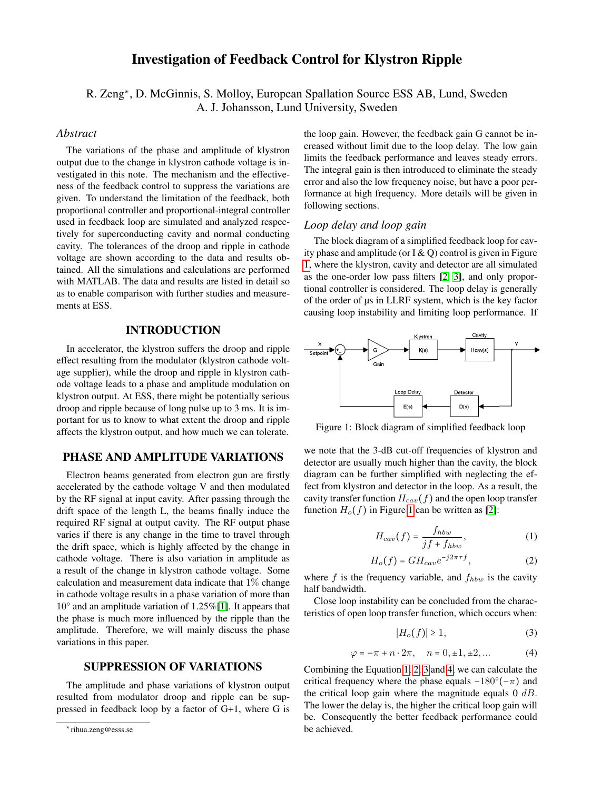# Investigation of Feedback Control for Klystron Ripple

R. Zeng<sup>∗</sup>, D. McGinnis, S. Molloy, European Spallation Source ESS AB, Lund, Sweden A. J. Johansson, Lund University, Sweden

### *Abstract*

The variations of the phase and amplitude of klystron output due to the change in klystron cathode voltage is investigated in this note. The mechanism and the effectiveness of the feedback control to suppress the variations are given. To understand the limitation of the feedback, both proportional controller and proportional-integral controller used in feedback loop are simulated and analyzed respectively for superconducting cavity and normal conducting cavity. The tolerances of the droop and ripple in cathode voltage are shown according to the data and results obtained. All the simulations and calculations are performed with MATLAB. The data and results are listed in detail so as to enable comparison with further studies and measurements at ESS.

## INTRODUCTION

In accelerator, the klystron suffers the droop and ripple effect resulting from the modulator (klystron cathode voltage supplier), while the droop and ripple in klystron cathode voltage leads to a phase and amplitude modulation on klystron output. At ESS, there might be potentially serious droop and ripple because of long pulse up to 3 ms. It is important for us to know to what extent the droop and ripple affects the klystron output, and how much we can tolerate.

### PHASE AND AMPLITUDE VARIATIONS

Electron beams generated from electron gun are firstly accelerated by the cathode voltage V and then modulated by the RF signal at input cavity. After passing through the drift space of the length L, the beams finally induce the required RF signal at output cavity. The RF output phase varies if there is any change in the time to travel through the drift space, which is highly affected by the change in cathode voltage. There is also variation in amplitude as a result of the change in klystron cathode voltage. Some calculation and measurement data indicate that  $1\%$  change in cathode voltage results in a phase variation of more than 10° and an amplitude variation of 1.25%[\[1\]](#page-2-0). It appears that the phase is much more influenced by the ripple than the amplitude. Therefore, we will mainly discuss the phase variations in this paper.

### SUPPRESSION OF VARIATIONS

The amplitude and phase variations of klystron output resulted from modulator droop and ripple can be suppressed in feedback loop by a factor of G+1, where G is the loop gain. However, the feedback gain G cannot be increased without limit due to the loop delay. The low gain limits the feedback performance and leaves steady errors. The integral gain is then introduced to eliminate the steady error and also the low frequency noise, but have a poor performance at high frequency. More details will be given in following sections.

#### *Loop delay and loop gain*

The block diagram of a simplified feedback loop for cavity phase and amplitude (or  $I & Q$ ) control is given in Figure [1,](#page-0-0) where the klystron, cavity and detector are all simulated as the one-order low pass filters [\[2,](#page-2-1) [3\]](#page-2-2), and only proportional controller is considered. The loop delay is generally of the order of µs in LLRF system, which is the key factor causing loop instability and limiting loop performance. If



<span id="page-0-0"></span>Figure 1: Block diagram of simplified feedback loop

we note that the 3-dB cut-off frequencies of klystron and detector are usually much higher than the cavity, the block diagram can be further simplified with neglecting the effect from klystron and detector in the loop. As a result, the cavity transfer function  $H_{cav}(f)$  and the open loop transfer function  $H_o(f)$  in Figure [1](#page-0-0) can be written as [\[2\]](#page-2-1):

<span id="page-0-1"></span>
$$
H_{cav}(f) = \frac{f_{hbw}}{jf + f_{hbw}},\tag{1}
$$

<span id="page-0-2"></span>
$$
H_o(f) = GH_{cav}e^{-j2\pi\tau f},\tag{2}
$$

where  $f$  is the frequency variable, and  $f_{hbw}$  is the cavity half bandwidth.

Close loop instability can be concluded from the characteristics of open loop transfer function, which occurs when:

<span id="page-0-3"></span>
$$
|H_o(f)| \ge 1,\tag{3}
$$

<span id="page-0-4"></span>
$$
\varphi = -\pi + n \cdot 2\pi, \quad n = 0, \pm 1, \pm 2, \dots \tag{4}
$$

Combining the Equation [1,](#page-0-1) [2,](#page-0-2) [3](#page-0-3) and [4,](#page-0-4) we can calculate the critical frequency where the phase equals  $-180^{\circ}(-\pi)$  and the critical loop gain where the magnitude equals  $0$  dB. The lower the delay is, the higher the critical loop gain will be. Consequently the better feedback performance could be achieved.

<sup>∗</sup> rihua.zeng@esss.se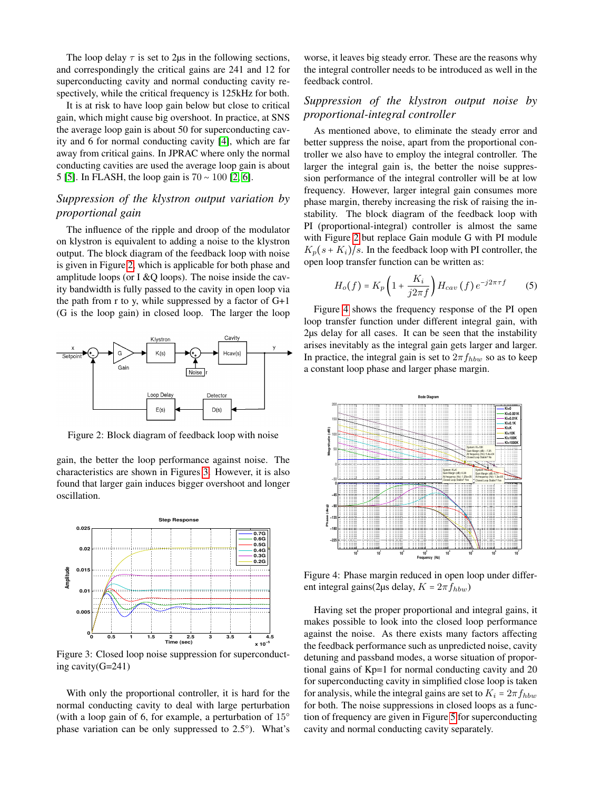The loop delay  $\tau$  is set to 2 us in the following sections, and correspondingly the critical gains are 241 and 12 for superconducting cavity and normal conducting cavity respectively, while the critical frequency is 125kHz for both.

It is at risk to have loop gain below but close to critical gain, which might cause big overshoot. In practice, at SNS the average loop gain is about 50 for superconducting cavity and 6 for normal conducting cavity [\[4\]](#page-2-3), which are far away from critical gains. In JPRAC where only the normal conducting cavities are used the average loop gain is about 5 [\[5\]](#page-2-4). In FLASH, the loop gain is 70 ∼ 100 [\[2,](#page-2-1) [6\]](#page-2-5).

## *Suppression of the klystron output variation by proportional gain*

The influence of the ripple and droop of the modulator on klystron is equivalent to adding a noise to the klystron output. The block diagram of the feedback loop with noise is given in Figure [2,](#page-1-0) which is applicable for both phase and amplitude loops (or I  $&Q$  loops). The noise inside the cavity bandwidth is fully passed to the cavity in open loop via the path from r to y, while suppressed by a factor of G+1 (G is the loop gain) in closed loop. The larger the loop



<span id="page-1-0"></span>Figure 2: Block diagram of feedback loop with noise

gain, the better the loop performance against noise. The characteristics are shown in Figures [3.](#page-1-1) However, it is also found that larger gain induces bigger overshoot and longer oscillation.



<span id="page-1-1"></span>Figure 3: Closed loop noise suppression for superconducting cavity(G=241)

With only the proportional controller, it is hard for the normal conducting cavity to deal with large perturbation (with a loop gain of 6, for example, a perturbation of 15° phase variation can be only suppressed to 2.5°). What's

worse, it leaves big steady error. These are the reasons why the integral controller needs to be introduced as well in the feedback control.

## *Suppression of the klystron output noise by proportional-integral controller*

As mentioned above, to eliminate the steady error and better suppress the noise, apart from the proportional controller we also have to employ the integral controller. The larger the integral gain is, the better the noise suppression performance of the integral controller will be at low frequency. However, larger integral gain consumes more phase margin, thereby increasing the risk of raising the instability. The block diagram of the feedback loop with PI (proportional-integral) controller is almost the same with Figure [2](#page-1-0) but replace Gain module G with PI module  $K_p(s+K_i)/s$ . In the feedback loop with PI controller, the open loop transfer function can be written as:

$$
H_o(f) = K_p \left( 1 + \frac{K_i}{j2\pi f} \right) H_{cav}(f) e^{-j2\pi \tau f} \tag{5}
$$

Figure [4](#page-1-2) shows the frequency response of the PI open loop transfer function under different integral gain, with 2µs delay for all cases. It can be seen that the instability arises inevitably as the integral gain gets larger and larger. In practice, the integral gain is set to  $2\pi f_{hbw}$  so as to keep a constant loop phase and larger phase margin.



<span id="page-1-2"></span>Figure 4: Phase margin reduced in open loop under different integral gains(2µs delay,  $K = 2\pi f_{hbw}$ )

Having set the proper proportional and integral gains, it makes possible to look into the closed loop performance against the noise. As there exists many factors affecting the feedback performance such as unpredicted noise, cavity detuning and passband modes, a worse situation of proportional gains of Kp=1 for normal conducting cavity and 20 for superconducting cavity in simplified close loop is taken for analysis, while the integral gains are set to  $K_i = 2\pi f_{hbw}$ for both. The noise suppressions in closed loops as a function of frequency are given in Figure [5](#page-2-6) for superconducting cavity and normal conducting cavity separately.